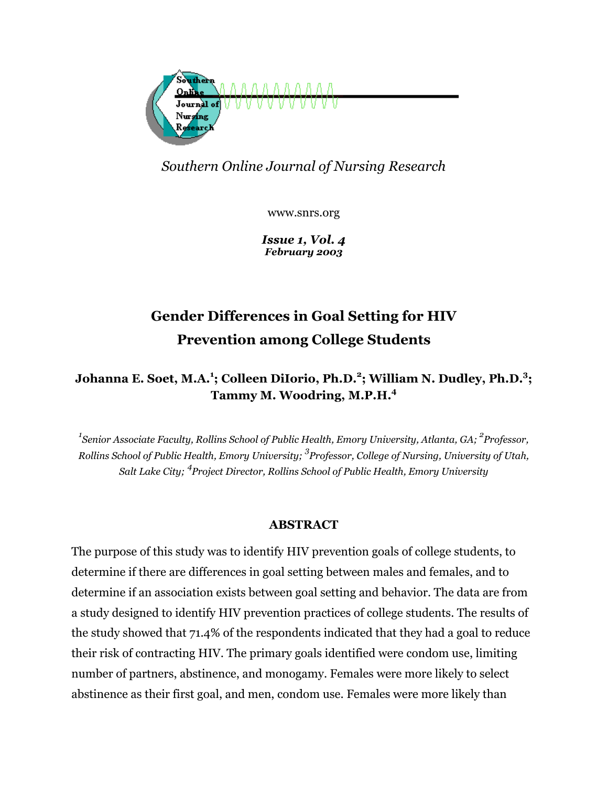

## *Southern Online Journal of Nursing Research*

www.snrs.org

*Issue 1, Vol. 4 February 2003*

# **Gender Differences in Goal Setting for HIV Prevention among College Students**

## **Johanna E. Soet, M.A.1 ; Colleen DiIorio, Ph.D.<sup>2</sup> ; William N. Dudley, Ph.D.<sup>3</sup> ; Tammy M. Woodring, M.P.H.4**

*1 Senior Associate Faculty, Rollins School of Public Health, Emory University, Atlanta, GA; <sup>2</sup> Professor, Rollins School of Public Health, Emory University; 3 Professor, College of Nursing, University of Utah, Salt Lake City; 4 Project Director, Rollins School of Public Health, Emory University* 

## **ABSTRACT**

The purpose of this study was to identify HIV prevention goals of college students, to determine if there are differences in goal setting between males and females, and to determine if an association exists between goal setting and behavior. The data are from a study designed to identify HIV prevention practices of college students. The results of the study showed that 71.4% of the respondents indicated that they had a goal to reduce their risk of contracting HIV. The primary goals identified were condom use, limiting number of partners, abstinence, and monogamy. Females were more likely to select abstinence as their first goal, and men, condom use. Females were more likely than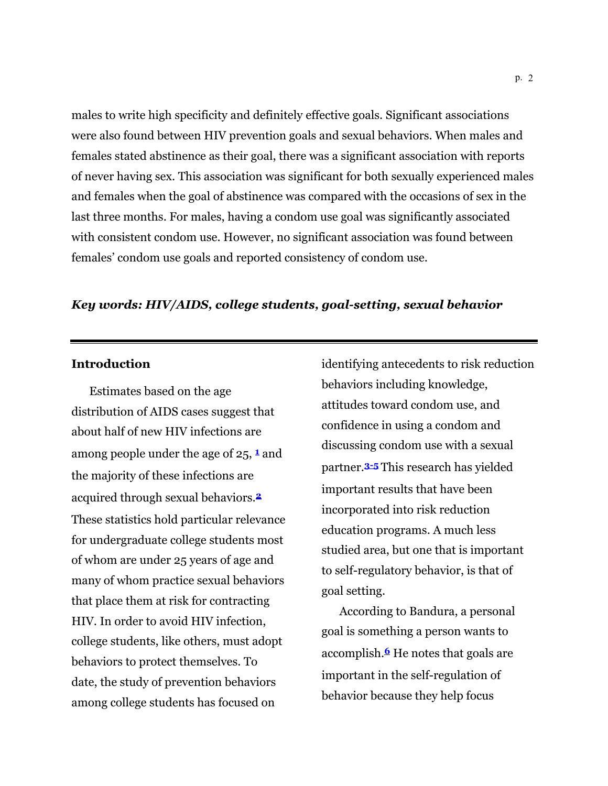males to write high specificity and definitely effective goals. Significant associations were also found between HIV prevention goals and sexual behaviors. When males and females stated abstinence as their goal, there was a significant association with reports of never having sex. This association was significant for both sexually experienced males and females when the goal of abstinence was compared with the occasions of sex in the last three months. For males, having a condom use goal was significantly associated with consistent condom use. However, no significant association was found between females' condom use goals and reported consistency of condom use.

## *Key words: HIV/AIDS, college students, goal-setting, sexual behavior*

## **Introduction**

Estimates based on the age distribution of AIDS cases suggest that about half of new HIV infections are among people under the age of 25, **<sup>1</sup>** and the majority of these infections are acquired through sexual behaviors.**<sup>2</sup>** These statistics hold particular relevance for undergraduate college students most of whom are under 25 years of age and many of whom practice sexual behaviors that place them at risk for contracting HIV. In order to avoid HIV infection, college students, like others, must adopt behaviors to protect themselves. To date, the study of prevention behaviors among college students has focused on

identifying antecedents to risk reduction behaviors including knowledge, attitudes toward condom use, and confidence in using a condom and discussing condom use with a sexual partner.**3-5** This research has yielded important results that have been incorporated into risk reduction education programs. A much less studied area, but one that is important to self-regulatory behavior, is that of goal setting.

According to Bandura, a personal goal is something a person wants to accomplish.**6** He notes that goals are important in the self-regulation of behavior because they help focus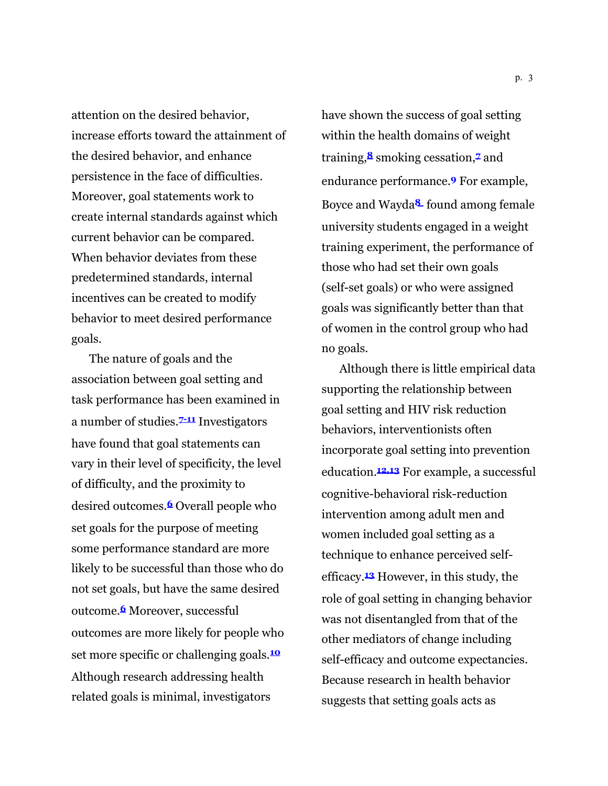attention on the desired behavior, increase efforts toward the attainment of the desired behavior, and enhance persistence in the face of difficulties. Moreover, goal statements work to create internal standards against which current behavior can be compared. When behavior deviates from these predetermined standards, internal incentives can be created to modify behavior to meet desired performance goals.

The nature of goals and the association between goal setting and task performance has been examined in a number of studies.**7-11** Investigators have found that goal statements can vary in their level of specificity, the level of difficulty, and the proximity to desired outcomes.**6** Overall people who set goals for the purpose of meeting some performance standard are more likely to be successful than those who do not set goals, but have the same desired outcome.**6** Moreover, successful outcomes are more likely for people who set more specific or challenging goals.**<sup>10</sup>** Although research addressing health related goals is minimal, investigators

have shown the success of goal setting within the health domains of weight training,**8** smoking cessation,**7** and endurance performance.**9** For example, Boyce and Wayda**<sup>8</sup>** found among female university students engaged in a weight training experiment, the performance of those who had set their own goals (self-set goals) or who were assigned goals was significantly better than that of women in the control group who had no goals.

Although there is little empirical data supporting the relationship between goal setting and HIV risk reduction behaviors, interventionists often incorporate goal setting into prevention education.**12,13** For example, a successful cognitive-behavioral risk-reduction intervention among adult men and women included goal setting as a technique to enhance perceived selfefficacy.**13** However, in this study, the role of goal setting in changing behavior was not disentangled from that of the other mediators of change including self-efficacy and outcome expectancies. Because research in health behavior suggests that setting goals acts as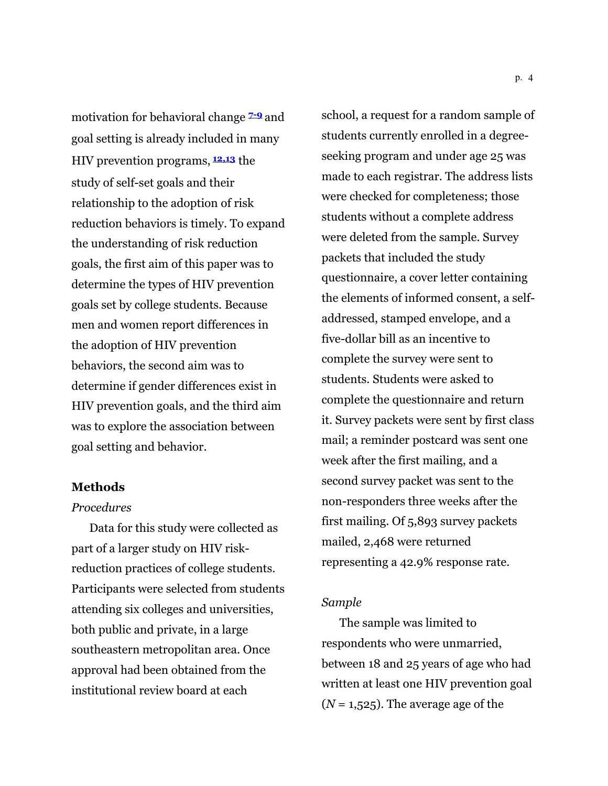motivation for behavioral change **7-9** and goal setting is already included in many HIV prevention programs, **12,13** the study of self-set goals and their relationship to the adoption of risk reduction behaviors is timely. To expand the understanding of risk reduction goals, the first aim of this paper was to determine the types of HIV prevention goals set by college students. Because men and women report differences in the adoption of HIV prevention behaviors, the second aim was to determine if gender differences exist in HIV prevention goals, and the third aim was to explore the association between goal setting and behavior.

### **Methods**

## *Procedures*

Data for this study were collected as part of a larger study on HIV riskreduction practices of college students. Participants were selected from students attending six colleges and universities, both public and private, in a large southeastern metropolitan area. Once approval had been obtained from the institutional review board at each

school, a request for a random sample of students currently enrolled in a degreeseeking program and under age 25 was made to each registrar. The address lists were checked for completeness; those students without a complete address were deleted from the sample. Survey packets that included the study questionnaire, a cover letter containing the elements of informed consent, a selfaddressed, stamped envelope, and a five-dollar bill as an incentive to complete the survey were sent to students. Students were asked to complete the questionnaire and return it. Survey packets were sent by first class mail; a reminder postcard was sent one week after the first mailing, and a second survey packet was sent to the non-responders three weeks after the first mailing. Of 5,893 survey packets mailed, 2,468 were returned representing a 42.9% response rate.

## *Sample*

The sample was limited to respondents who were unmarried, between 18 and 25 years of age who had written at least one HIV prevention goal  $(N = 1,525)$ . The average age of the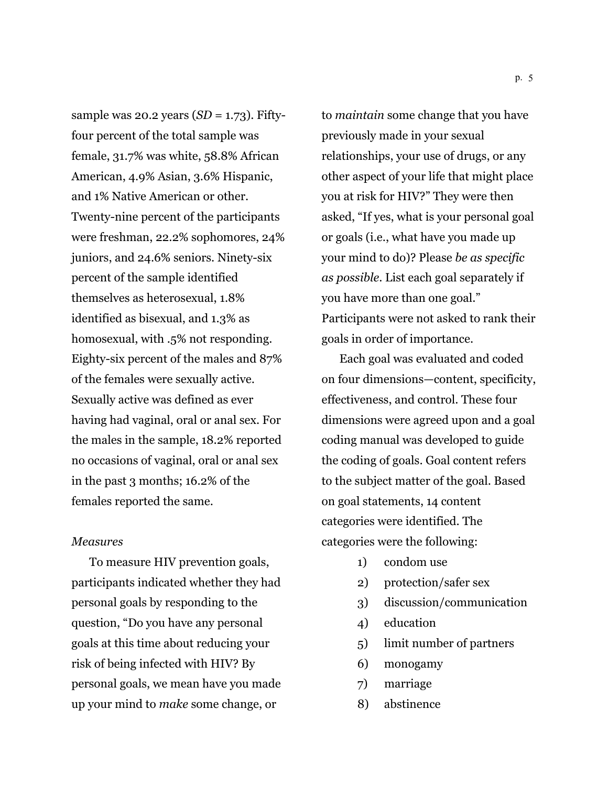sample was 20.2 years (*SD* = 1.73). Fiftyfour percent of the total sample was female, 31.7% was white, 58.8% African American, 4.9% Asian, 3.6% Hispanic, and 1% Native American or other. Twenty-nine percent of the participants were freshman, 22.2% sophomores, 24% juniors, and 24.6% seniors. Ninety-six percent of the sample identified themselves as heterosexual, 1.8% identified as bisexual, and 1.3% as homosexual, with .5% not responding. Eighty-six percent of the males and 87% of the females were sexually active. Sexually active was defined as ever having had vaginal, oral or anal sex. For the males in the sample, 18.2% reported no occasions of vaginal, oral or anal sex in the past 3 months; 16.2% of the females reported the same.

### *Measures*

To measure HIV prevention goals, participants indicated whether they had personal goals by responding to the question, "Do you have any personal goals at this time about reducing your risk of being infected with HIV? By personal goals, we mean have you made up your mind to *make* some change, or

to *maintain* some change that you have previously made in your sexual relationships, your use of drugs, or any other aspect of your life that might place you at risk for HIV?" They were then asked, "If yes, what is your personal goal or goals (i.e., what have you made up your mind to do)? Please *be as specific as possible*. List each goal separately if you have more than one goal." Participants were not asked to rank their goals in order of importance.

Each goal was evaluated and coded on four dimensions—content, specificity, effectiveness, and control. These four dimensions were agreed upon and a goal coding manual was developed to guide the coding of goals. Goal content refers to the subject matter of the goal. Based on goal statements, 14 content categories were identified. The categories were the following:

- 1) condom use
- 2) protection/safer sex
- 3) discussion/communication
- 4) education
- 5) limit number of partners
- 6) monogamy
- 7) marriage
- 8) abstinence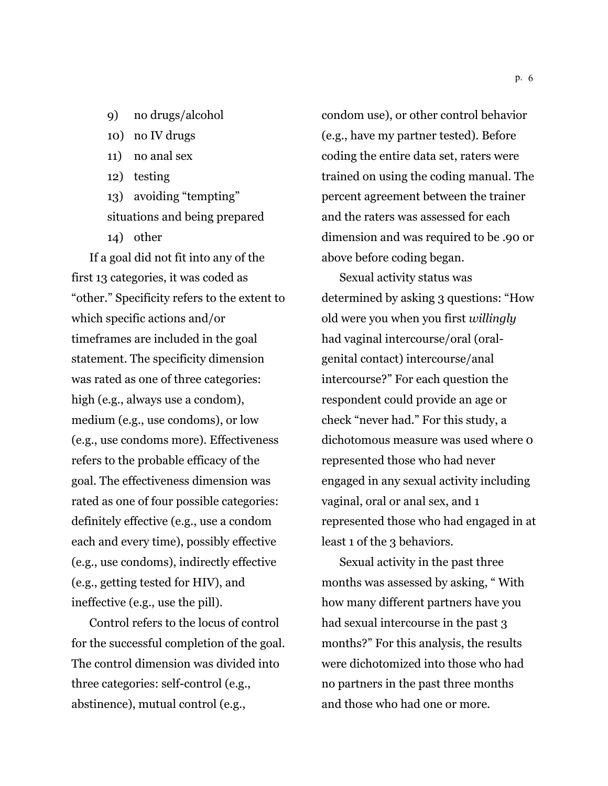- 9) no drugs/alcohol
- 10) no IV drugs
- 11) no anal sex
- 12) testing
- 13) avoiding "tempting" situations and being prepared
- 14) other

If a goal did not fit into any of the first 13 categories, it was coded as "other." Specificity refers to the extent to which specific actions and/or timeframes are included in the goal statement. The specificity dimension was rated as one of three categories: high (e.g., always use a condom), medium (e.g., use condoms), or low (e.g., use condoms more). Effectiveness refers to the probable efficacy of the goal. The effectiveness dimension was rated as one of four possible categories: definitely effective (e.g., use a condom each and every time), possibly effective (e.g., use condoms), indirectly effective (e.g., getting tested for HIV), and ineffective (e.g., use the pill).

Control refers to the locus of control for the successful completion of the goal. The control dimension was divided into three categories: self-control (e.g., abstinence), mutual control (e.g.,

condom use), or other control behavior (e.g., have my partner tested). Before coding the entire data set, raters were trained on using the coding manual. The percent agreement between the trainer and the raters was assessed for each dimension and was required to be .90 or above before coding began.

Sexual activity status was determined by asking 3 questions: "How old were you when you first *willingly* had vaginal intercourse/oral (oralgenital contact) intercourse/anal intercourse?" For each question the respondent could provide an age or check "never had." For this study, a dichotomous measure was used where 0 represented those who had never engaged in any sexual activity including vaginal, oral or anal sex, and 1 represented those who had engaged in at least 1 of the 3 behaviors.

Sexual activity in the past three months was assessed by asking, " With how many different partners have you had sexual intercourse in the past 3 months?" For this analysis, the results were dichotomized into those who had no partners in the past three months and those who had one or more.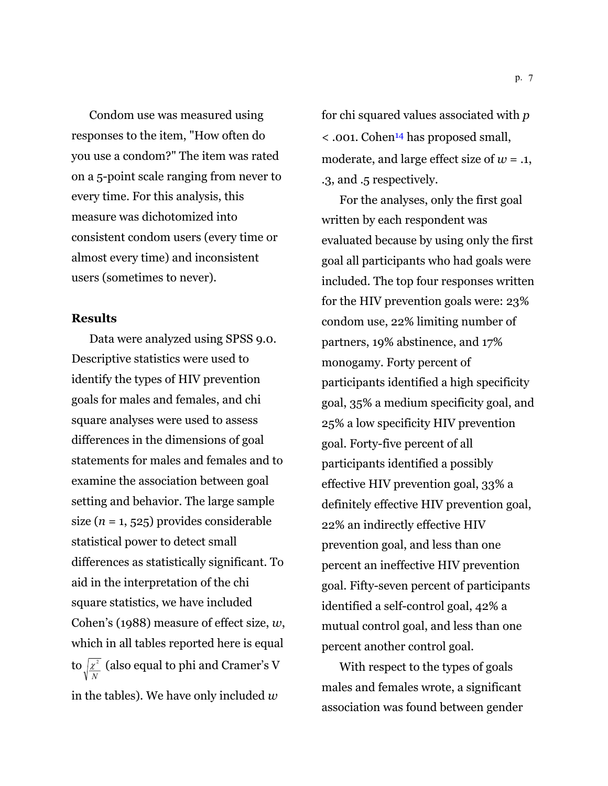Condom use was measured using responses to the item, "How often do you use a condom?" The item was rated on a 5-point scale ranging from never to every time. For this analysis, this measure was dichotomized into consistent condom users (every time or almost every time) and inconsistent users (sometimes to never).

## **Results**

Data were analyzed using SPSS 9.0. Descriptive statistics were used to identify the types of HIV prevention goals for males and females, and chi square analyses were used to assess differences in the dimensions of goal statements for males and females and to examine the association between goal setting and behavior. The large sample size  $(n = 1, 525)$  provides considerable statistical power to detect small differences as statistically significant. To aid in the interpretation of the chi square statistics, we have included Cohen's (1988) measure of effect size, *w*, which in all tables reported here is equal to *N*  $x^2$  (also equal to phi and Cramer's V in the tables). We have only included *w*

for chi squared values associated with *p* < .001. Cohen14 has proposed small, moderate, and large effect size of  $w = .1$ , .3, and .5 respectively.

For the analyses, only the first goal written by each respondent was evaluated because by using only the first goal all participants who had goals were included. The top four responses written for the HIV prevention goals were: 23% condom use, 22% limiting number of partners, 19% abstinence, and 17% monogamy. Forty percent of participants identified a high specificity goal, 35% a medium specificity goal, and 25% a low specificity HIV prevention goal. Forty-five percent of all participants identified a possibly effective HIV prevention goal, 33% a definitely effective HIV prevention goal, 22% an indirectly effective HIV prevention goal, and less than one percent an ineffective HIV prevention goal. Fifty-seven percent of participants identified a self-control goal, 42% a mutual control goal, and less than one percent another control goal.

With respect to the types of goals males and females wrote, a significant association was found between gender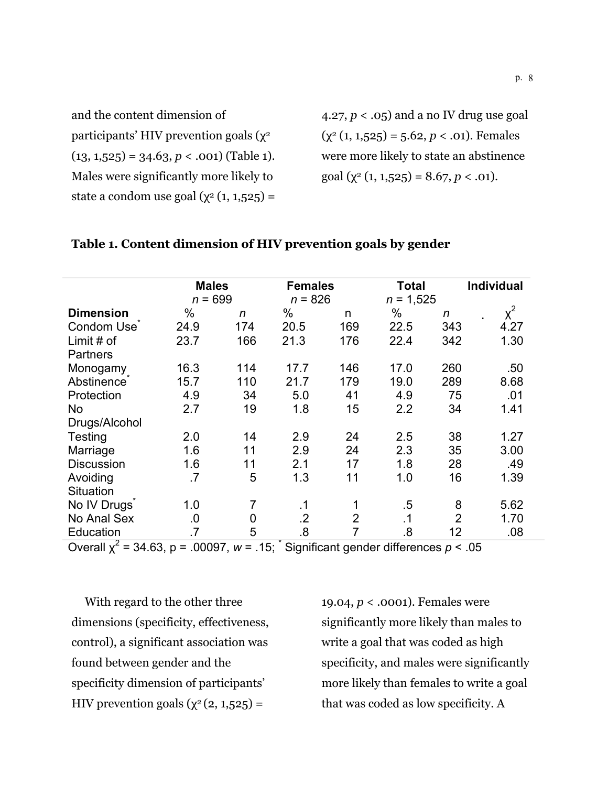and the content dimension of participants' HIV prevention goals  $(\chi^2)$  $(13, 1,525) = 34.63, p < .001$  (Table 1). Males were significantly more likely to state a condom use goal  $(\chi^2 (1, 1, 525))$  =

4.27, *p* < .05) and a no IV drug use goal  $(\chi^2 (1, 1, 525) = 5.62, p < .01)$ . Females were more likely to state an abstinence goal  $(\chi^2 (1, 1, 525) = 8.67, p < .01)$ .

#### **Males** Females Total Individual *n* = 699 *n* = 826 *n* = 1,525  $D$ imension % *n* % n % *n*  $\chi^2$ Condom Use<sup>\*</sup> 24.9 174 20.5 169 22.5 343 4.27 Limit # of **Partners** 23.7 166 21.3 176 22.4 342 1.30 Monogamy 16.3 114 17.7 146 17.0 260 .50 Abstinence<sup>®</sup> 15.7 110 21.7 179 19.0 289 8.68 Protection 4.9 34 5.0 41 4.9 75 .01 No Drugs/Alcohol 2.7 19 1.8 15 2.2 34 1.41 Testing 2.0 14 2.9 24 2.5 38 1.27 Marriage 1.6 11 2.9 24 2.3 35 3.00 Discussion 1.6 11 2.1 17 1.8 28 .49 Avoiding **Situation** .7 5 1.3 11 1.0 16 1.39 No IV Drugs 1.0 7 .1 1 .5 8 5.62 No Anal Sex 0 0 .2 2 .1 2 1.70 Education .7 5 .8 7 .8 12 .08

### **Table 1. Content dimension of HIV prevention goals by gender**

Overall  $\chi^2$  = 34.63, p = .00097,  $w$  = .15; Significant gender differences  $p < .05$ 

With regard to the other three dimensions (specificity, effectiveness, control), a significant association was found between gender and the specificity dimension of participants' HIV prevention goals  $(\chi^2(2, 1, 525))$  =

19.04, *p* < .0001). Females were significantly more likely than males to write a goal that was coded as high specificity, and males were significantly more likely than females to write a goal that was coded as low specificity. A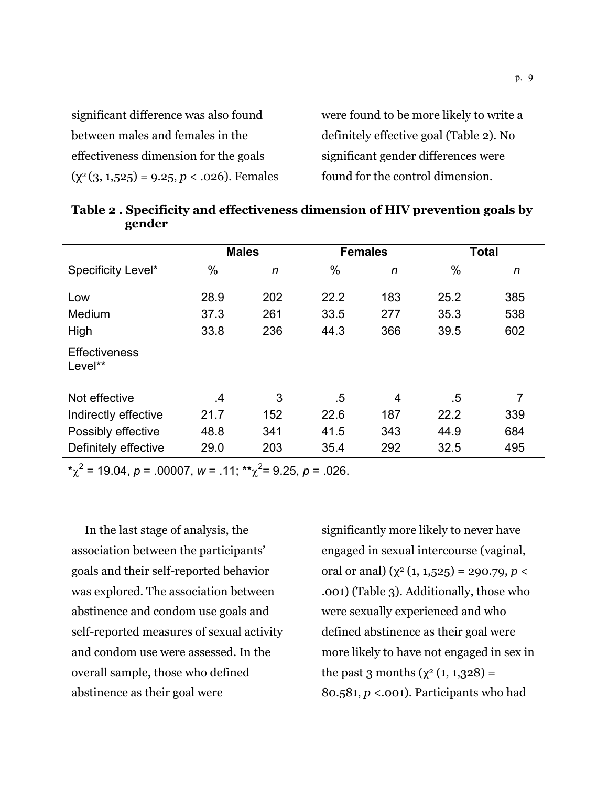| significant difference was also found           | were found to be more likely to write a |
|-------------------------------------------------|-----------------------------------------|
| between males and females in the                | definitely effective goal (Table 2). No |
| effectiveness dimension for the goals           | significant gender differences were     |
| $(\chi^2(3, 1,525) = 9.25, p < .026)$ . Females | found for the control dimension.        |

|                                 | <b>Males</b> |     |      | <b>Females</b> |      | <b>Total</b> |
|---------------------------------|--------------|-----|------|----------------|------|--------------|
| Specificity Level*              | $\%$         | n   | %    | n              | %    | n            |
| Low                             | 28.9         | 202 | 22.2 | 183            | 25.2 | 385          |
| Medium                          | 37.3         | 261 | 33.5 | 277            | 35.3 | 538          |
| High                            | 33.8         | 236 | 44.3 | 366            | 39.5 | 602          |
| <b>Effectiveness</b><br>Level** |              |     |      |                |      |              |
| Not effective                   | .4           | 3   | .5   | 4              | .5   | 7            |
| Indirectly effective            | 21.7         | 152 | 22.6 | 187            | 22.2 | 339          |
| Possibly effective              | 48.8         | 341 | 41.5 | 343            | 44.9 | 684          |
| Definitely effective            | 29.0         | 203 | 35.4 | 292            | 32.5 | 495          |

**Table 2 . Specificity and effectiveness dimension of HIV prevention goals by gender** 

 $x^2$  = 19.04, *p* = .00007, *w* = .11;  $x^2$  = 9.25, *p* = .026.

In the last stage of analysis, the association between the participants' goals and their self-reported behavior was explored. The association between abstinence and condom use goals and self-reported measures of sexual activity and condom use were assessed. In the overall sample, those who defined abstinence as their goal were

significantly more likely to never have engaged in sexual intercourse (vaginal, oral or anal) ( $\chi^2$  (1, 1,525) = 290.79, *p* < .001) (Table 3). Additionally, those who were sexually experienced and who defined abstinence as their goal were more likely to have not engaged in sex in the past 3 months  $(y^{2}(1, 1, 328)) =$ 80.581, *p* <.001). Participants who had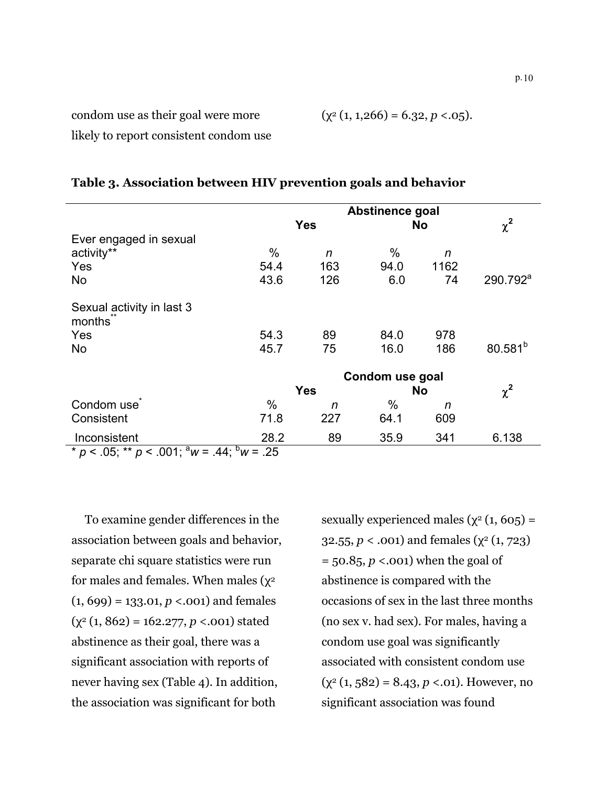$$
(\chi^2 (1, 1, 266) = 6.32, p < 0.05).
$$

likely to report consistent condom use

|                                                         | Abstinence goal |            |           |           |                      |
|---------------------------------------------------------|-----------------|------------|-----------|-----------|----------------------|
|                                                         |                 | <b>Yes</b> |           | <b>No</b> | $\chi^2$             |
| Ever engaged in sexual                                  |                 |            |           |           |                      |
| activity**                                              | $\%$            | n          | %         | n         |                      |
| Yes                                                     | 54.4            | 163        | 94.0      | 1162      |                      |
| <b>No</b>                                               | 43.6            | 126        | 6.0       | 74        | 290.792 <sup>a</sup> |
| Sexual activity in last 3<br>months                     |                 |            |           |           |                      |
| Yes                                                     | 54.3            | 89         | 84.0      | 978       |                      |
| <b>No</b>                                               | 45.7            | 75         | 16.0      | 186       | 80.581 <sup>b</sup>  |
|                                                         | Condom use goal |            |           |           |                      |
|                                                         | <b>Yes</b>      |            | <b>No</b> |           | $\chi^2$             |
| Condom use                                              | $\%$            | n          | %         | n         |                      |
| Consistent                                              | 71.8            | 227        | 64.1      | 609       |                      |
| Inconsistent                                            | 28.2            | 89         | 35.9      | 341       | 6.138                |
| * $p < .05$ ; ** $p < .001$ ; $a_W = .44$ ; $b_W = .25$ |                 |            |           |           |                      |

## **Table 3. Association between HIV prevention goals and behavior**

To examine gender differences in the association between goals and behavior, separate chi square statistics were run for males and females. When males ( $\chi^2$ (1, 699) = 133.01, *p* <.001) and females (χ2 (1, 862) = 162.277, *p* <.001) stated abstinence as their goal, there was a significant association with reports of never having sex (Table 4). In addition, the association was significant for both

sexually experienced males ( $\chi^2$  (1, 605) = 32.55,  $p < .001$ ) and females ( $\chi^2$  (1, 723) = 50.85, *p* <.001) when the goal of abstinence is compared with the occasions of sex in the last three months (no sex v. had sex). For males, having a condom use goal was significantly associated with consistent condom use  $(\chi^2 (1, 582) = 8.43, p < .01)$ . However, no significant association was found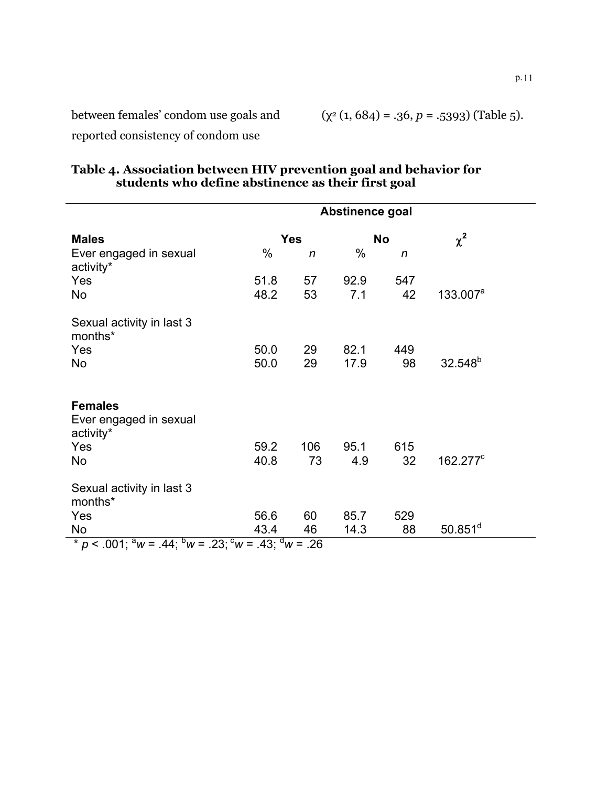$(\chi^2 (1, 684) = .36, p = .5393)$  (Table 5).

reported consistency of condom use

|                                                                                  |      |            | Abstinence goal |              |                     |
|----------------------------------------------------------------------------------|------|------------|-----------------|--------------|---------------------|
| <b>Males</b>                                                                     |      | <b>Yes</b> |                 | No           | $\chi^2$            |
| Ever engaged in sexual<br>activity*                                              | $\%$ | n          | $\%$            | $\mathsf{n}$ |                     |
| Yes                                                                              | 51.8 | 57         | 92.9            | 547          |                     |
| No                                                                               | 48.2 | 53         | 7.1             | 42           | $133.007^a$         |
| Sexual activity in last 3<br>months*                                             |      |            |                 |              |                     |
| Yes                                                                              | 50.0 | 29         | 82.1            | 449          |                     |
| <b>No</b>                                                                        | 50.0 | 29         | 17.9            | 98           | 32.548 <sup>b</sup> |
| <b>Females</b><br>Ever engaged in sexual<br>activity*<br><b>Yes</b>              | 59.2 | 106        | 95.1            | 615          |                     |
| No                                                                               | 40.8 | 73         | 4.9             | 32           | $162.277^{\circ}$   |
| Sexual activity in last 3<br>months*                                             |      |            |                 |              |                     |
| Yes                                                                              | 56.6 | 60         | 85.7            | 529          |                     |
| <b>No</b>                                                                        | 43.4 | 46         | 14.3            | 88           | $50.851^d$          |
| * $p < .001$ ; ${}^a w = .44$ ; ${}^b w = .23$ ; ${}^c w = .43$ ; ${}^d w = .26$ |      |            |                 |              |                     |

## **Table 4. Association between HIV prevention goal and behavior for students who define abstinence as their first goal**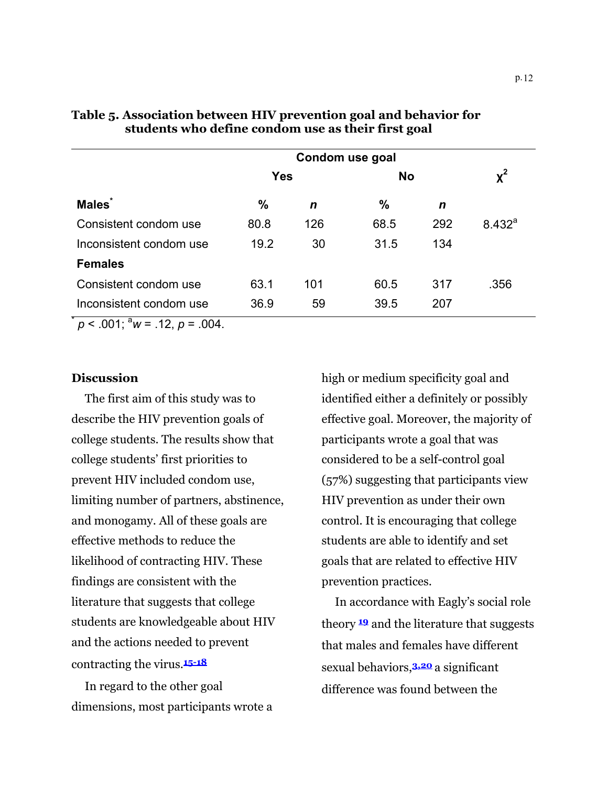|                                            | Condom use goal |             |           |     |             |
|--------------------------------------------|-----------------|-------------|-----------|-----|-------------|
|                                            | <b>Yes</b>      |             | <b>No</b> |     | $x^2$       |
| <b>Males</b>                               | $\frac{0}{0}$   | $\mathbf n$ | %         | n   |             |
| Consistent condom use                      | 80.8            | 126         | 68.5      | 292 | $8.432^{a}$ |
| Inconsistent condom use                    | 19.2            | 30          | 31.5      | 134 |             |
| <b>Females</b>                             |                 |             |           |     |             |
| Consistent condom use                      | 63.1            | 101         | 60.5      | 317 | .356        |
| Inconsistent condom use                    | 36.9            | 59          | 39.5      | 207 |             |
| $n \times 0.01 \cdot a_{11} = 12 n - 0.01$ |                 |             |           |     |             |

## **Table 5. Association between HIV prevention goal and behavior for students who define condom use as their first goal**

 $p < .001$ ; <sup>a</sup>w = .12,  $p = .004$ .

## **Discussion**

The first aim of this study was to describe the HIV prevention goals of college students. The results show that college students' first priorities to prevent HIV included condom use, limiting number of partners, abstinence, and monogamy. All of these goals are effective methods to reduce the likelihood of contracting HIV. These findings are consistent with the literature that suggests that college students are knowledgeable about HIV and the actions needed to prevent contracting the virus.**15-18**

In regard to the other goal dimensions, most participants wrote a high or medium specificity goal and identified either a definitely or possibly effective goal. Moreover, the majority of participants wrote a goal that was considered to be a self-control goal (57%) suggesting that participants view HIV prevention as under their own control. It is encouraging that college students are able to identify and set goals that are related to effective HIV prevention practices.

In accordance with Eagly's social role theory **<sup>19</sup>** and the literature that suggests that males and females have different sexual behaviors,**3,20** a significant difference was found between the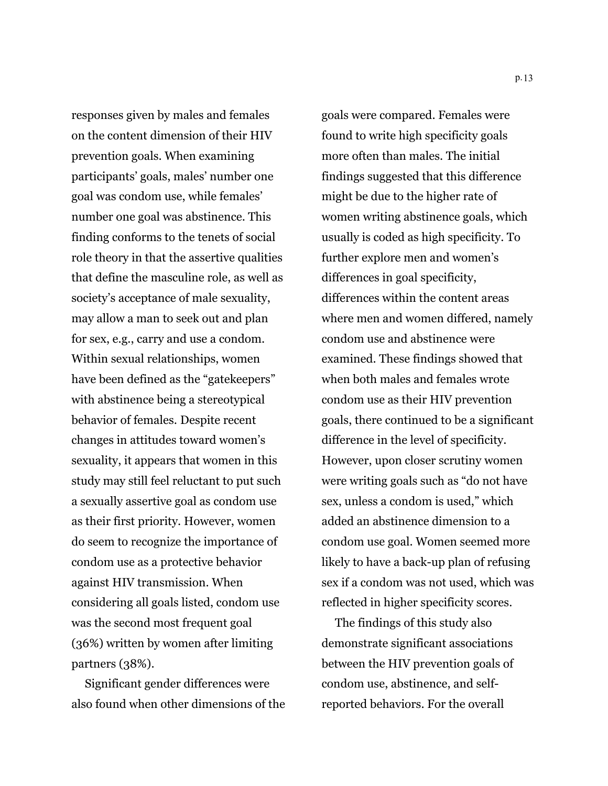responses given by males and females on the content dimension of their HIV prevention goals. When examining participants' goals, males' number one goal was condom use, while females' number one goal was abstinence. This finding conforms to the tenets of social role theory in that the assertive qualities that define the masculine role, as well as society's acceptance of male sexuality, may allow a man to seek out and plan for sex, e.g., carry and use a condom. Within sexual relationships, women have been defined as the "gatekeepers" with abstinence being a stereotypical behavior of females. Despite recent changes in attitudes toward women's sexuality, it appears that women in this study may still feel reluctant to put such a sexually assertive goal as condom use as their first priority. However, women do seem to recognize the importance of condom use as a protective behavior against HIV transmission. When considering all goals listed, condom use was the second most frequent goal (36%) written by women after limiting partners (38%).

Significant gender differences were also found when other dimensions of the

goals were compared. Females were found to write high specificity goals more often than males. The initial findings suggested that this difference might be due to the higher rate of women writing abstinence goals, which usually is coded as high specificity. To further explore men and women's differences in goal specificity, differences within the content areas where men and women differed, namely condom use and abstinence were examined. These findings showed that when both males and females wrote condom use as their HIV prevention goals, there continued to be a significant difference in the level of specificity. However, upon closer scrutiny women were writing goals such as "do not have sex, unless a condom is used," which added an abstinence dimension to a condom use goal. Women seemed more likely to have a back-up plan of refusing sex if a condom was not used, which was reflected in higher specificity scores.

The findings of this study also demonstrate significant associations between the HIV prevention goals of condom use, abstinence, and selfreported behaviors. For the overall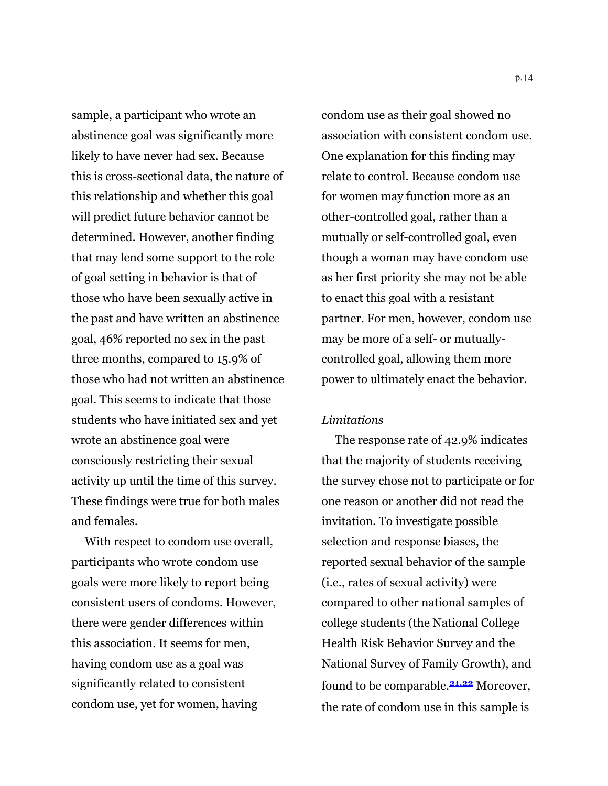sample, a participant who wrote an abstinence goal was significantly more likely to have never had sex. Because this is cross-sectional data, the nature of this relationship and whether this goal will predict future behavior cannot be determined. However, another finding that may lend some support to the role of goal setting in behavior is that of those who have been sexually active in the past and have written an abstinence goal, 46% reported no sex in the past three months, compared to 15.9% of those who had not written an abstinence goal. This seems to indicate that those students who have initiated sex and yet wrote an abstinence goal were consciously restricting their sexual activity up until the time of this survey. These findings were true for both males and females.

With respect to condom use overall, participants who wrote condom use goals were more likely to report being consistent users of condoms. However, there were gender differences within this association. It seems for men, having condom use as a goal was significantly related to consistent condom use, yet for women, having

condom use as their goal showed no association with consistent condom use. One explanation for this finding may relate to control. Because condom use for women may function more as an other-controlled goal, rather than a mutually or self-controlled goal, even though a woman may have condom use as her first priority she may not be able to enact this goal with a resistant partner. For men, however, condom use may be more of a self- or mutuallycontrolled goal, allowing them more power to ultimately enact the behavior.

## *Limitations*

The response rate of 42.9% indicates that the majority of students receiving the survey chose not to participate or for one reason or another did not read the invitation. To investigate possible selection and response biases, the reported sexual behavior of the sample (i.e., rates of sexual activity) were compared to other national samples of college students (the National College Health Risk Behavior Survey and the National Survey of Family Growth), and found to be comparable.**21,22** Moreover, the rate of condom use in this sample is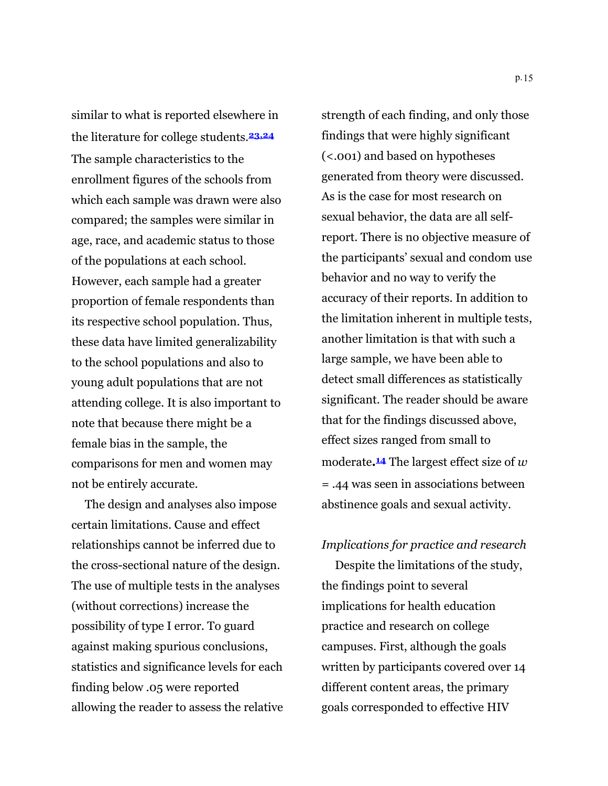similar to what is reported elsewhere in the literature for college students.**23,24** The sample characteristics to the enrollment figures of the schools from which each sample was drawn were also compared; the samples were similar in age, race, and academic status to those of the populations at each school. However, each sample had a greater proportion of female respondents than its respective school population. Thus, these data have limited generalizability to the school populations and also to young adult populations that are not attending college. It is also important to note that because there might be a female bias in the sample, the comparisons for men and women may not be entirely accurate.

The design and analyses also impose certain limitations. Cause and effect relationships cannot be inferred due to the cross-sectional nature of the design. The use of multiple tests in the analyses (without corrections) increase the possibility of type I error. To guard against making spurious conclusions, statistics and significance levels for each finding below .05 were reported allowing the reader to assess the relative

strength of each finding, and only those findings that were highly significant (<.001) and based on hypotheses generated from theory were discussed. As is the case for most research on sexual behavior, the data are all selfreport. There is no objective measure of the participants' sexual and condom use behavior and no way to verify the accuracy of their reports. In addition to the limitation inherent in multiple tests, another limitation is that with such a large sample, we have been able to detect small differences as statistically significant. The reader should be aware that for the findings discussed above, effect sizes ranged from small to moderate**.14** The largest effect size of *w* = .44 was seen in associations between abstinence goals and sexual activity.

## *Implications for practice and research*

Despite the limitations of the study, the findings point to several implications for health education practice and research on college campuses. First, although the goals written by participants covered over 14 different content areas, the primary goals corresponded to effective HIV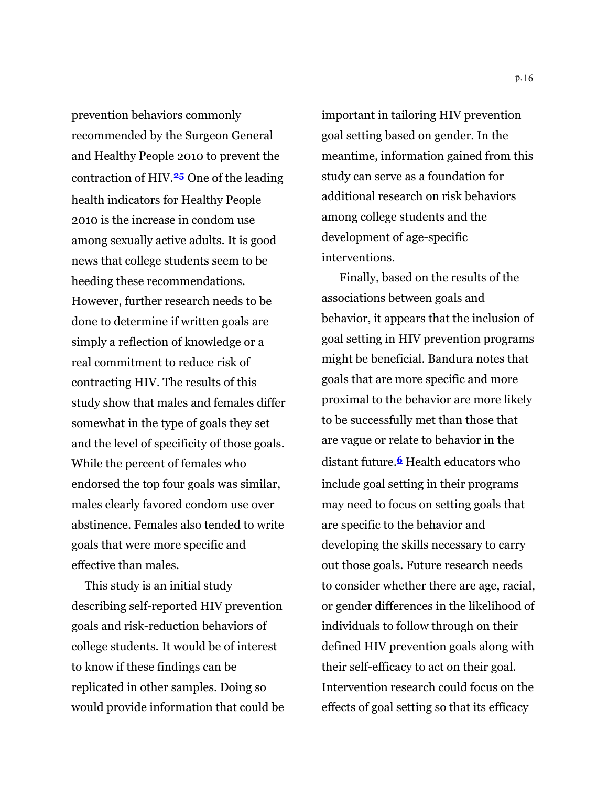prevention behaviors commonly recommended by the Surgeon General and Healthy People 2010 to prevent the contraction of HIV.**<sup>25</sup>** One of the leading health indicators for Healthy People 2010 is the increase in condom use among sexually active adults. It is good news that college students seem to be heeding these recommendations. However, further research needs to be done to determine if written goals are simply a reflection of knowledge or a real commitment to reduce risk of contracting HIV. The results of this study show that males and females differ somewhat in the type of goals they set and the level of specificity of those goals. While the percent of females who endorsed the top four goals was similar, males clearly favored condom use over abstinence. Females also tended to write goals that were more specific and effective than males.

This study is an initial study describing self-reported HIV prevention goals and risk-reduction behaviors of college students. It would be of interest to know if these findings can be replicated in other samples. Doing so would provide information that could be important in tailoring HIV prevention goal setting based on gender. In the meantime, information gained from this study can serve as a foundation for additional research on risk behaviors among college students and the development of age-specific interventions.

Finally, based on the results of the associations between goals and behavior, it appears that the inclusion of goal setting in HIV prevention programs might be beneficial. Bandura notes that goals that are more specific and more proximal to the behavior are more likely to be successfully met than those that are vague or relate to behavior in the distant future.**6** Health educators who include goal setting in their programs may need to focus on setting goals that are specific to the behavior and developing the skills necessary to carry out those goals. Future research needs to consider whether there are age, racial, or gender differences in the likelihood of individuals to follow through on their defined HIV prevention goals along with their self-efficacy to act on their goal. Intervention research could focus on the effects of goal setting so that its efficacy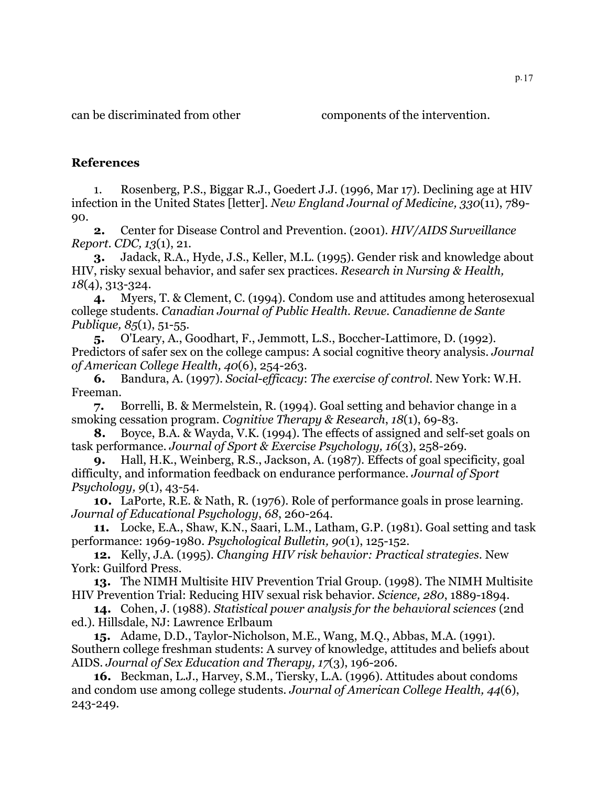can be discriminated from other components of the intervention.

## **References**

1. Rosenberg, P.S., Biggar R.J., Goedert J.J. (1996, Mar 17). Declining age at HIV infection in the United States [letter]. *New England Journal of Medicine, 330*(11), 789- 90.

**2.** Center for Disease Control and Prevention. (2001). *HIV/AIDS Surveillance Report*. *CDC, 13*(1), 21.

**3.** Jadack, R.A., Hyde, J.S., Keller, M.L. (1995). Gender risk and knowledge about HIV, risky sexual behavior, and safer sex practices. *Research in Nursing & Health, 18*(4), 313-324.

**4.** Myers, T. & Clement, C. (1994). Condom use and attitudes among heterosexual college students. *Canadian Journal of Public Health. Revue. Canadienne de Sante Publique, 85*(1), 51-55.

**5.** O'Leary, A., Goodhart, F., Jemmott, L.S., Boccher-Lattimore, D. (1992). Predictors of safer sex on the college campus: A social cognitive theory analysis. *Journal of American College Health, 40*(6), 254-263.

**6.** Bandura, A. (1997). *Social-efficacy*: *The exercise of control*. New York: W.H. Freeman.

**7.** Borrelli, B. & Mermelstein, R. (1994). Goal setting and behavior change in a smoking cessation program. *Cognitive Therapy & Research*, *18*(1), 69-83.

**8.** Boyce, B.A. & Wayda, V.K. (1994). The effects of assigned and self-set goals on task performance. *Journal of Sport & Exercise Psychology, 16*(3), 258-269.

**9.** Hall, H.K., Weinberg, R.S., Jackson, A. (1987). Effects of goal specificity, goal difficulty, and information feedback on endurance performance. *Journal of Sport Psychology, 9*(1), 43-54.

**10.** LaPorte, R.E. & Nath, R. (1976). Role of performance goals in prose learning. *Journal of Educational Psychology*, *68*, 260-264.

**11.** Locke, E.A., Shaw, K.N., Saari, L.M., Latham, G.P. (1981). Goal setting and task performance: 1969-1980. *Psychological Bulletin, 90*(1), 125-152.

**12.** Kelly, J.A. (1995). *Changing HIV risk behavior: Practical strategies*. New York: Guilford Press.

**13.** The NIMH Multisite HIV Prevention Trial Group. (1998). The NIMH Multisite HIV Prevention Trial: Reducing HIV sexual risk behavior. *Science, 280*, 1889-1894.

**14.** Cohen, J. (1988). *Statistical power analysis for the behavioral sciences* (2nd ed.). Hillsdale, NJ: Lawrence Erlbaum

**15.** Adame, D.D., Taylor-Nicholson, M.E., Wang, M.Q., Abbas, M.A. (1991). Southern college freshman students: A survey of knowledge, attitudes and beliefs about AIDS. *Journal of Sex Education and Therapy, 17*(3), 196-206.

**16.** Beckman, L.J., Harvey, S.M., Tiersky, L.A. (1996). Attitudes about condoms and condom use among college students. *Journal of American College Health, 44*(6), 243-249.